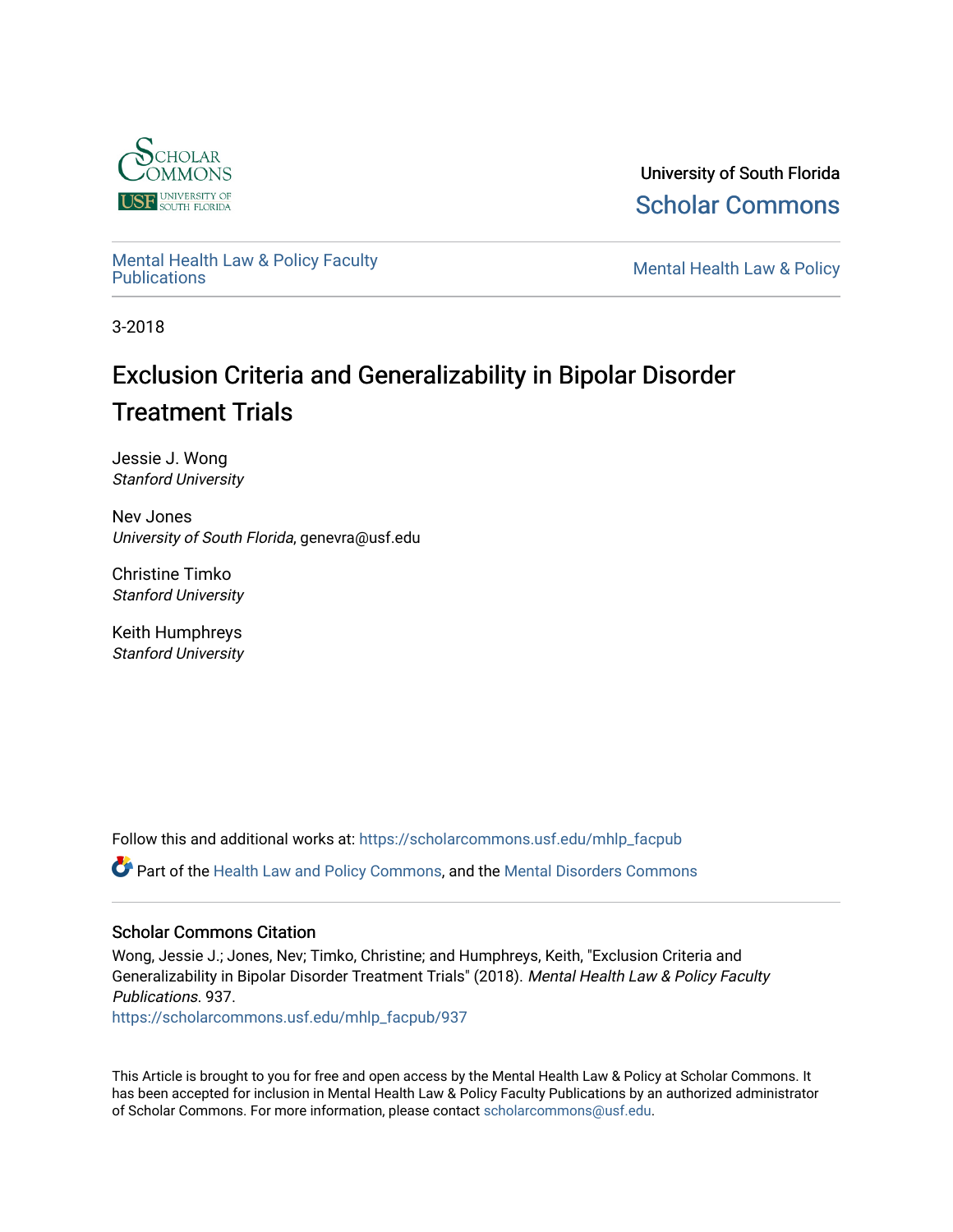

University of South Florida [Scholar Commons](https://scholarcommons.usf.edu/) 

[Mental Health Law & Policy Faculty](https://scholarcommons.usf.edu/mhlp_facpub) 

**Mental Health Law & Policy** 

3-2018

# Exclusion Criteria and Generalizability in Bipolar Disorder Treatment Trials

Jessie J. Wong Stanford University

Nev Jones University of South Florida, genevra@usf.edu

Christine Timko Stanford University

Keith Humphreys Stanford University

Follow this and additional works at: [https://scholarcommons.usf.edu/mhlp\\_facpub](https://scholarcommons.usf.edu/mhlp_facpub?utm_source=scholarcommons.usf.edu%2Fmhlp_facpub%2F937&utm_medium=PDF&utm_campaign=PDFCoverPages) 

Part of the [Health Law and Policy Commons](http://network.bepress.com/hgg/discipline/901?utm_source=scholarcommons.usf.edu%2Fmhlp_facpub%2F937&utm_medium=PDF&utm_campaign=PDFCoverPages), and the [Mental Disorders Commons](http://network.bepress.com/hgg/discipline/968?utm_source=scholarcommons.usf.edu%2Fmhlp_facpub%2F937&utm_medium=PDF&utm_campaign=PDFCoverPages)

# Scholar Commons Citation

Wong, Jessie J.; Jones, Nev; Timko, Christine; and Humphreys, Keith, "Exclusion Criteria and Generalizability in Bipolar Disorder Treatment Trials" (2018). Mental Health Law & Policy Faculty Publications. 937.

[https://scholarcommons.usf.edu/mhlp\\_facpub/937](https://scholarcommons.usf.edu/mhlp_facpub/937?utm_source=scholarcommons.usf.edu%2Fmhlp_facpub%2F937&utm_medium=PDF&utm_campaign=PDFCoverPages) 

This Article is brought to you for free and open access by the Mental Health Law & Policy at Scholar Commons. It has been accepted for inclusion in Mental Health Law & Policy Faculty Publications by an authorized administrator of Scholar Commons. For more information, please contact [scholarcommons@usf.edu.](mailto:scholarcommons@usf.edu)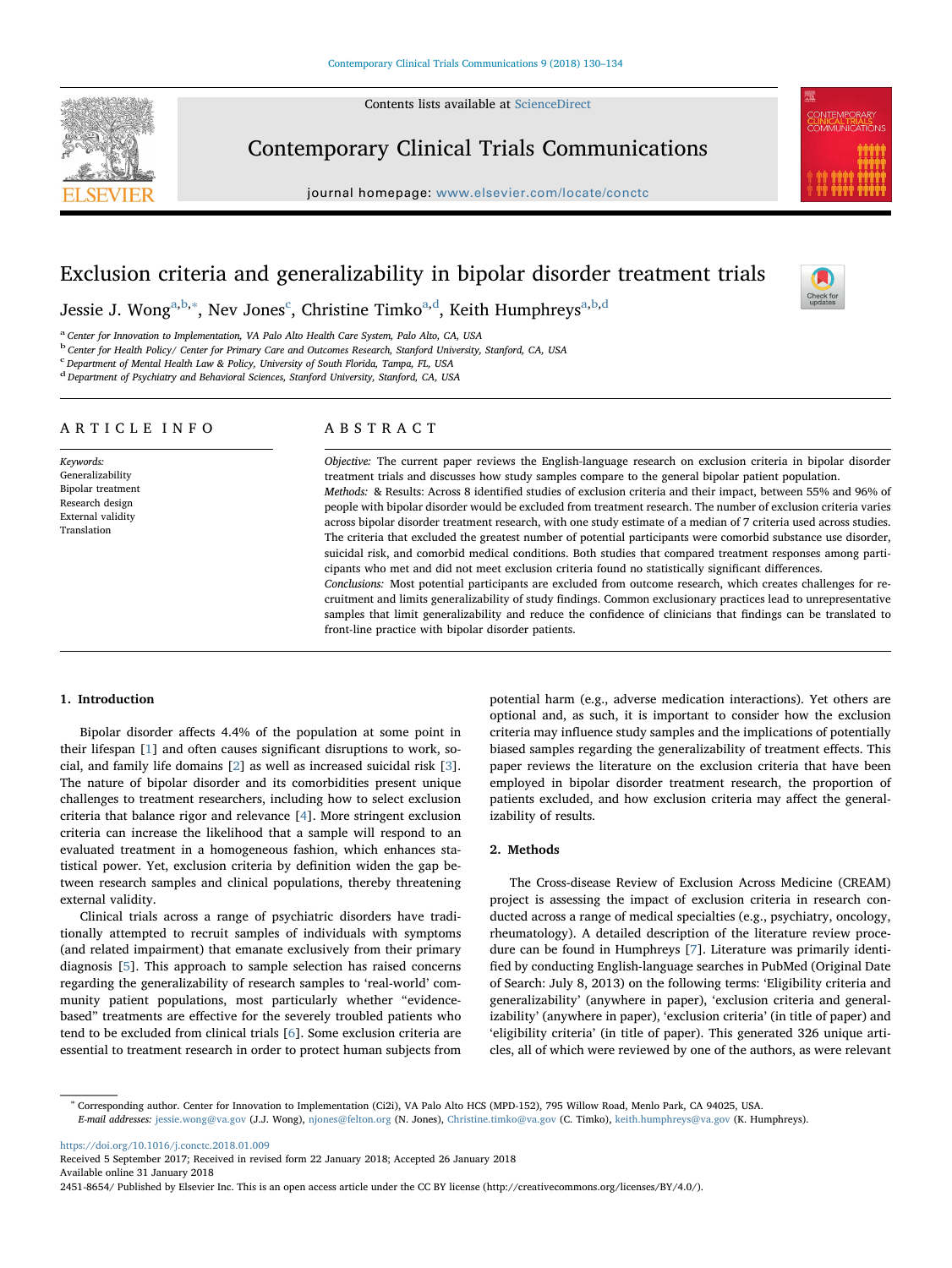Contents lists available at [ScienceDirect](http://www.sciencedirect.com/science/journal/24518654)



Contemporary Clinical Trials Communications

journal homepage: [www.elsevier.com/locate/conctc](https://www.elsevier.com/locate/conctc)



# Exclusion criteria and generalizability in bipolar disorder treatment trials



Jessie J. Wong<sup>[a](#page-1-0)[,b,](#page-1-1)</sup>\*, Nev Jones<sup>[c](#page-1-3)</sup>, Christine Timko<sup>a,[d](#page-1-4)</sup>, Keith Humphreys<sup>[a,](#page-1-0)[b](#page-1-1)[,d](#page-1-4)</sup>

<span id="page-1-0"></span><sup>a</sup> Center for Innovation to Implementation, VA Palo Alto Health Care System, Palo Alto, CA, USA

<span id="page-1-1"></span><sup>b</sup> Center for Health Policy/ Center for Primary Care and Outcomes Research, Stanford University, Stanford, CA, USA

<span id="page-1-3"></span><sup>c</sup> Department of Mental Health Law & Policy, University of South Florida, Tampa, FL, USA

<span id="page-1-4"></span><sup>d</sup> Department of Psychiatry and Behavioral Sciences, Stanford University, Stanford, CA, USA

# ARTICLE INFO

Keywords: Generalizability Bipolar treatment Research design External validity Translation

# ABSTRACT

Objective: The current paper reviews the English-language research on exclusion criteria in bipolar disorder treatment trials and discusses how study samples compare to the general bipolar patient population. Methods: & Results: Across 8 identified studies of exclusion criteria and their impact, between 55% and 96% of people with bipolar disorder would be excluded from treatment research. The number of exclusion criteria varies across bipolar disorder treatment research, with one study estimate of a median of 7 criteria used across studies. The criteria that excluded the greatest number of potential participants were comorbid substance use disorder, suicidal risk, and comorbid medical conditions. Both studies that compared treatment responses among participants who met and did not meet exclusion criteria found no statistically significant differences. Conclusions: Most potential participants are excluded from outcome research, which creates challenges for re-

cruitment and limits generalizability of study findings. Common exclusionary practices lead to unrepresentative samples that limit generalizability and reduce the confidence of clinicians that findings can be translated to front-line practice with bipolar disorder patients.

# 1. Introduction

Bipolar disorder affects 4.4% of the population at some point in their lifespan [[1](#page-5-0)] and often causes significant disruptions to work, social, and family life domains [[2](#page-5-1)] as well as increased suicidal risk [[3](#page-5-2)]. The nature of bipolar disorder and its comorbidities present unique challenges to treatment researchers, including how to select exclusion criteria that balance rigor and relevance [[4](#page-5-3)]. More stringent exclusion criteria can increase the likelihood that a sample will respond to an evaluated treatment in a homogeneous fashion, which enhances statistical power. Yet, exclusion criteria by definition widen the gap between research samples and clinical populations, thereby threatening external validity.

Clinical trials across a range of psychiatric disorders have traditionally attempted to recruit samples of individuals with symptoms (and related impairment) that emanate exclusively from their primary diagnosis [\[5\]](#page-5-4). This approach to sample selection has raised concerns regarding the generalizability of research samples to 'real-world' community patient populations, most particularly whether "evidencebased" treatments are effective for the severely troubled patients who tend to be excluded from clinical trials [\[6\]](#page-5-5). Some exclusion criteria are essential to treatment research in order to protect human subjects from

potential harm (e.g., adverse medication interactions). Yet others are optional and, as such, it is important to consider how the exclusion criteria may influence study samples and the implications of potentially biased samples regarding the generalizability of treatment effects. This paper reviews the literature on the exclusion criteria that have been employed in bipolar disorder treatment research, the proportion of patients excluded, and how exclusion criteria may affect the generalizability of results.

# 2. Methods

The Cross-disease Review of Exclusion Across Medicine (CREAM) project is assessing the impact of exclusion criteria in research conducted across a range of medical specialties (e.g., psychiatry, oncology, rheumatology). A detailed description of the literature review procedure can be found in Humphreys [[7](#page-5-6)]. Literature was primarily identified by conducting English-language searches in PubMed (Original Date of Search: July 8, 2013) on the following terms: 'Eligibility criteria and generalizability' (anywhere in paper), 'exclusion criteria and generalizability' (anywhere in paper), 'exclusion criteria' (in title of paper) and 'eligibility criteria' (in title of paper). This generated 326 unique articles, all of which were reviewed by one of the authors, as were relevant

<span id="page-1-2"></span><sup>∗</sup> Corresponding author. Center for Innovation to Implementation (Ci2i), VA Palo Alto HCS (MPD-152), 795 Willow Road, Menlo Park, CA 94025, USA. E-mail addresses: [jessie.wong@va.gov](mailto:jessie.wong@va.gov) (J.J. Wong), [njones@felton.org](mailto:njones@felton.org) (N. Jones), [Christine.timko@va.gov](mailto:Christine.timko@va.gov) (C. Timko), [keith.humphreys@va.gov](mailto:keith.humphreys@va.gov) (K. Humphreys).

<https://doi.org/10.1016/j.conctc.2018.01.009>

Received 5 September 2017; Received in revised form 22 January 2018; Accepted 26 January 2018 Available online 31 January 2018

2451-8654/ Published by Elsevier Inc. This is an open access article under the CC BY license (http://creativecommons.org/licenses/BY/4.0/).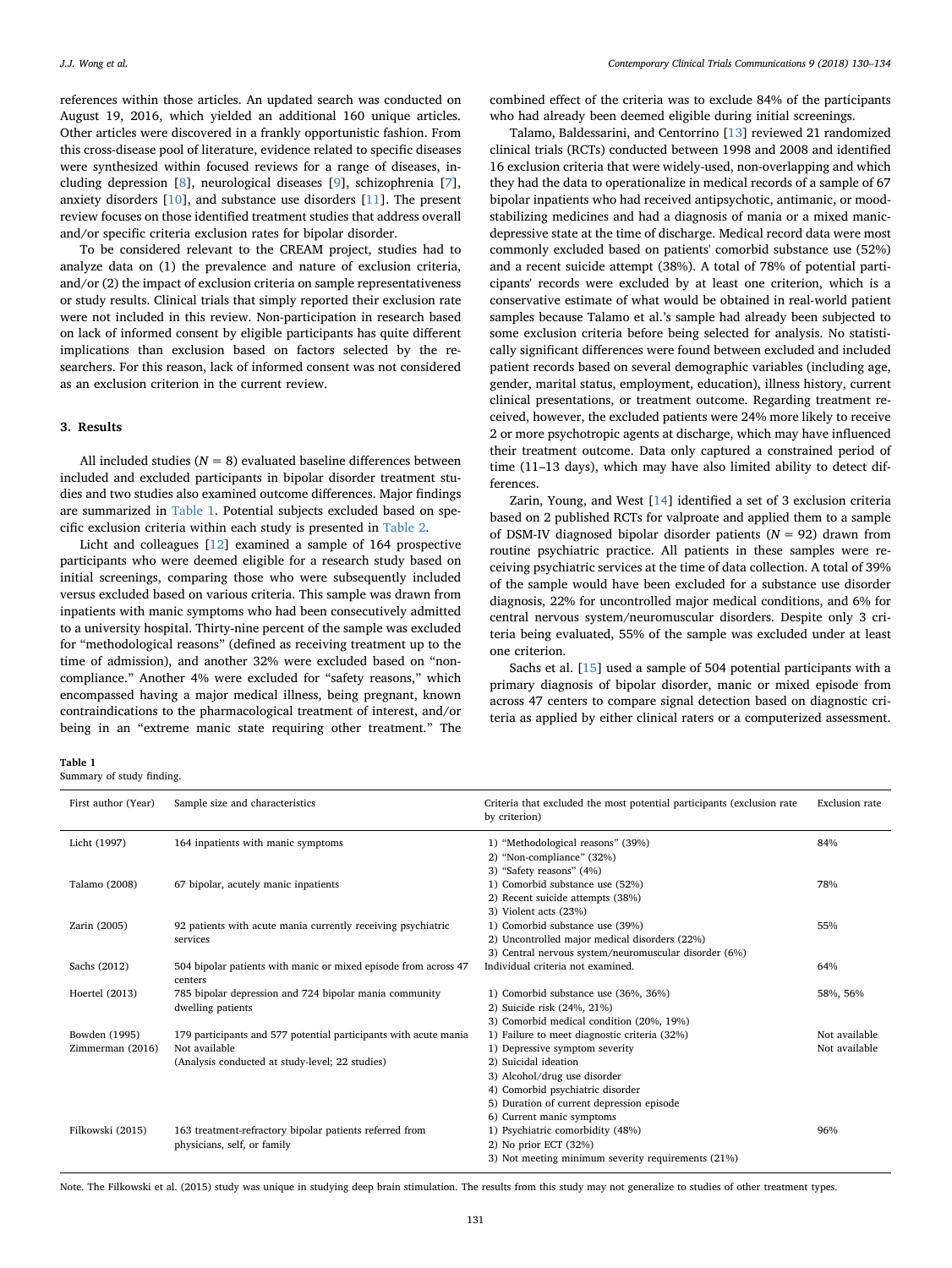references within those articles. An updated search was conducted on August 19, 2016, which yielded an additional 160 unique articles. Other articles were discovered in a frankly opportunistic fashion. From this cross-disease pool of literature, evidence related to specific diseases were synthesized within focused reviews for a range of diseases, including depression [\[8\]](#page-5-7), neurological diseases [[9](#page-5-8)], schizophrenia [[7](#page-5-6)], anxiety disorders [\[10](#page-5-9)], and substance use disorders [\[11](#page-5-10)]. The present review focuses on those identified treatment studies that address overall and/or specific criteria exclusion rates for bipolar disorder.

To be considered relevant to the CREAM project, studies had to analyze data on (1) the prevalence and nature of exclusion criteria, and/or (2) the impact of exclusion criteria on sample representativeness or study results. Clinical trials that simply reported their exclusion rate were not included in this review. Non-participation in research based on lack of informed consent by eligible participants has quite different implications than exclusion based on factors selected by the researchers. For this reason, lack of informed consent was not considered as an exclusion criterion in the current review.

# 3. Results

All included studies ( $N = 8$ ) evaluated baseline differences between included and excluded participants in bipolar disorder treatment studies and two studies also examined outcome differences. Major findings are summarized in [Table 1](#page-2-0). Potential subjects excluded based on specific exclusion criteria within each study is presented in [Table 2.](#page-3-0)

Licht and colleagues [\[12](#page-5-11)] examined a sample of 164 prospective participants who were deemed eligible for a research study based on initial screenings, comparing those who were subsequently included versus excluded based on various criteria. This sample was drawn from inpatients with manic symptoms who had been consecutively admitted to a university hospital. Thirty-nine percent of the sample was excluded for "methodological reasons" (defined as receiving treatment up to the time of admission), and another 32% were excluded based on "noncompliance." Another 4% were excluded for "safety reasons," which encompassed having a major medical illness, being pregnant, known contraindications to the pharmacological treatment of interest, and/or being in an "extreme manic state requiring other treatment." The

combined effect of the criteria was to exclude 84% of the participants who had already been deemed eligible during initial screenings.

Talamo, Baldessarini, and Centorrino [[13\]](#page-5-12) reviewed 21 randomized clinical trials (RCTs) conducted between 1998 and 2008 and identified 16 exclusion criteria that were widely-used, non-overlapping and which they had the data to operationalize in medical records of a sample of 67 bipolar inpatients who had received antipsychotic, antimanic, or moodstabilizing medicines and had a diagnosis of mania or a mixed manicdepressive state at the time of discharge. Medical record data were most commonly excluded based on patients' comorbid substance use (52%) and a recent suicide attempt (38%). A total of 78% of potential participants' records were excluded by at least one criterion, which is a conservative estimate of what would be obtained in real-world patient samples because Talamo et al.'s sample had already been subjected to some exclusion criteria before being selected for analysis. No statistically significant differences were found between excluded and included patient records based on several demographic variables (including age, gender, marital status, employment, education), illness history, current clinical presentations, or treatment outcome. Regarding treatment received, however, the excluded patients were 24% more likely to receive 2 or more psychotropic agents at discharge, which may have influenced their treatment outcome. Data only captured a constrained period of time (11–13 days), which may have also limited ability to detect differences.

Zarin, Young, and West [\[14](#page-5-13)] identified a set of 3 exclusion criteria based on 2 published RCTs for valproate and applied them to a sample of DSM-IV diagnosed bipolar disorder patients ( $N = 92$ ) drawn from routine psychiatric practice. All patients in these samples were receiving psychiatric services at the time of data collection. A total of 39% of the sample would have been excluded for a substance use disorder diagnosis, 22% for uncontrolled major medical conditions, and 6% for central nervous system/neuromuscular disorders. Despite only 3 criteria being evaluated, 55% of the sample was excluded under at least one criterion.

Sachs et al. [[15\]](#page-5-14) used a sample of 504 potential participants with a primary diagnosis of bipolar disorder, manic or mixed episode from across 47 centers to compare signal detection based on diagnostic criteria as applied by either clinical raters or a computerized assessment.

#### <span id="page-2-0"></span>Table 1

Summary of study finding.

| First author (Year) | Sample size and characteristics                                            | Criteria that excluded the most potential participants (exclusion rate<br>by criterion) | <b>Exclusion</b> rate |  |  |  |
|---------------------|----------------------------------------------------------------------------|-----------------------------------------------------------------------------------------|-----------------------|--|--|--|
| Licht (1997)        | 164 inpatients with manic symptoms                                         | 1) "Methodological reasons" (39%)                                                       | 84%                   |  |  |  |
|                     |                                                                            | 2) "Non-compliance" (32%)                                                               |                       |  |  |  |
|                     |                                                                            | 3) "Safety reasons" (4%)                                                                |                       |  |  |  |
| Talamo (2008)       | 67 bipolar, acutely manic inpatients                                       | 1) Comorbid substance use (52%)                                                         | 78%                   |  |  |  |
|                     |                                                                            | 2) Recent suicide attempts (38%)                                                        |                       |  |  |  |
|                     |                                                                            | 3) Violent acts (23%)                                                                   |                       |  |  |  |
| Zarin (2005)        | 92 patients with acute mania currently receiving psychiatric<br>services   | 1) Comorbid substance use (39%)                                                         | 55%                   |  |  |  |
|                     |                                                                            | 2) Uncontrolled major medical disorders (22%)                                           |                       |  |  |  |
|                     |                                                                            | 3) Central nervous system/neuromuscular disorder (6%)                                   |                       |  |  |  |
| Sachs (2012)        | 504 bipolar patients with manic or mixed episode from across 47<br>centers | Individual criteria not examined.                                                       | 64%                   |  |  |  |
| Hoertel (2013)      | 785 bipolar depression and 724 bipolar mania community                     | 1) Comorbid substance use (36%, 36%)                                                    | 58%, 56%              |  |  |  |
|                     | dwelling patients                                                          | 2) Suicide risk (24%, 21%)                                                              |                       |  |  |  |
|                     |                                                                            | 3) Comorbid medical condition (20%, 19%)                                                |                       |  |  |  |
| Bowden (1995)       | 179 participants and 577 potential participants with acute mania           | 1) Failure to meet diagnostic criteria (32%)                                            | Not available         |  |  |  |
| Zimmerman (2016)    | Not available                                                              | 1) Depressive symptom severity                                                          | Not available         |  |  |  |
|                     | (Analysis conducted at study-level; 22 studies)                            | 2) Suicidal ideation                                                                    |                       |  |  |  |
|                     |                                                                            | 3) Alcohol/drug use disorder                                                            |                       |  |  |  |
|                     |                                                                            | 4) Comorbid psychiatric disorder                                                        |                       |  |  |  |
|                     |                                                                            | 5) Duration of current depression episode                                               |                       |  |  |  |
|                     |                                                                            | 6) Current manic symptoms                                                               |                       |  |  |  |
| Filkowski (2015)    | 163 treatment-refractory bipolar patients referred from                    | 1) Psychiatric comorbidity (48%)                                                        | 96%                   |  |  |  |
|                     | physicians, self, or family                                                | 2) No prior ECT (32%)                                                                   |                       |  |  |  |
|                     |                                                                            | 3) Not meeting minimum severity requirements (21%)                                      |                       |  |  |  |

Note. The Filkowski et al. (2015) study was unique in studying deep brain stimulation. The results from this study may not generalize to studies of other treatment types.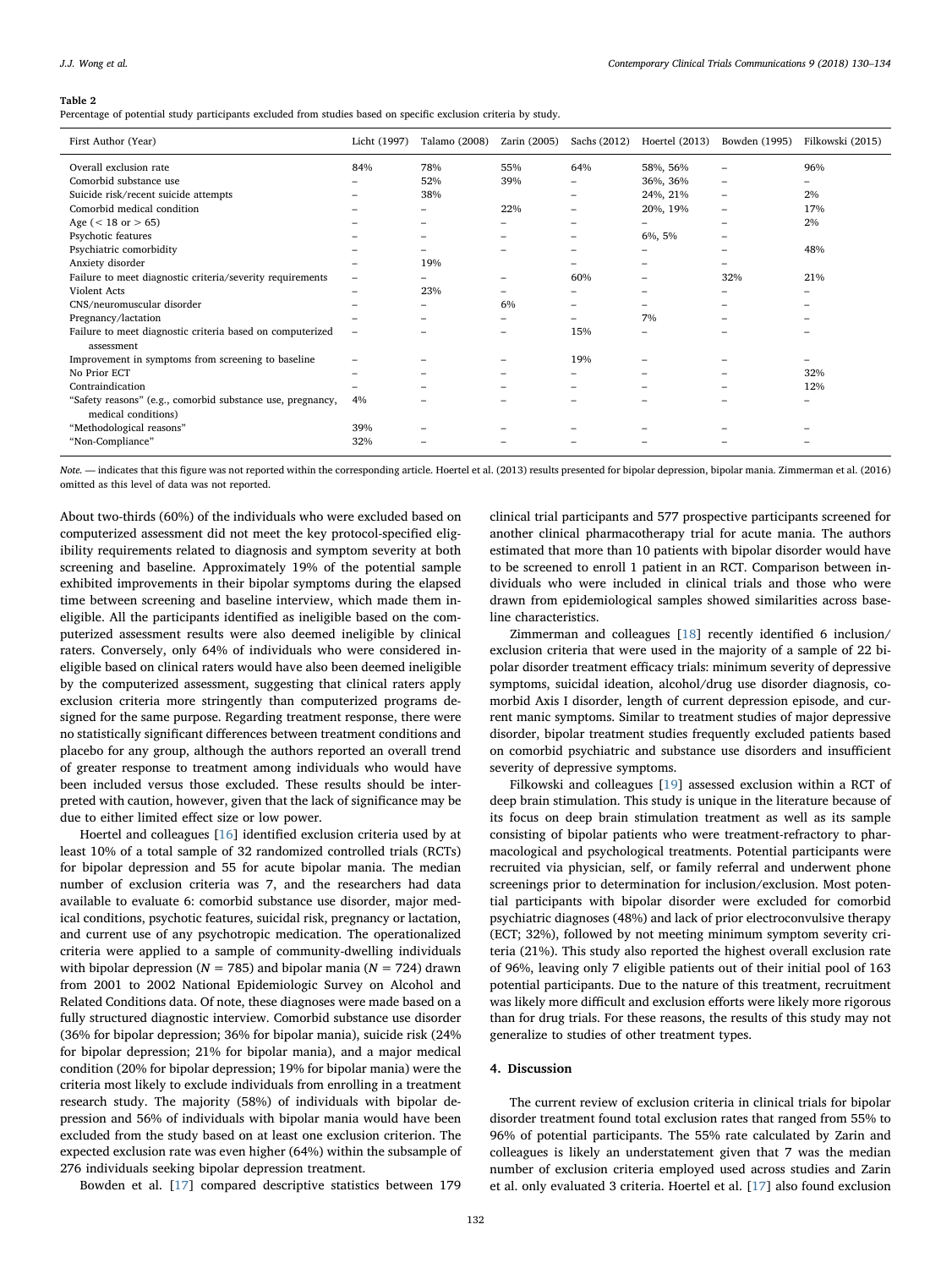#### <span id="page-3-0"></span>Table 2

Percentage of potential study participants excluded from studies based on specific exclusion criteria by study.

| First Author (Year)                                        | Licht (1997) | Talamo (2008) | Zarin (2005) | Sachs (2012)             | Hoertel $(2013)$         | Bowden (1995)            | Filkowski (2015) |
|------------------------------------------------------------|--------------|---------------|--------------|--------------------------|--------------------------|--------------------------|------------------|
| Overall exclusion rate                                     | 84%          | 78%           | 55%          | 64%                      | 58%, 56%                 |                          | 96%              |
| Comorbid substance use                                     |              | 52%           | 39%          |                          | 36%, 36%                 | -                        | -                |
| Suicide risk/recent suicide attempts                       |              | 38%           |              | $\overline{\phantom{0}}$ | 24%, 21%                 | $\overline{\phantom{0}}$ | 2%               |
| Comorbid medical condition                                 |              |               | 22%          |                          | 20%, 19%                 | $\overline{\phantom{0}}$ | 17%              |
| Age ( $<$ 18 or $>$ 65)                                    |              |               |              |                          |                          |                          | 2%               |
| Psychotic features                                         |              | -             | -            | -                        | 6%, 5%                   | -                        |                  |
| Psychiatric comorbidity                                    |              |               |              | -                        |                          |                          | 48%              |
| Anxiety disorder                                           |              | 19%           |              |                          |                          |                          |                  |
| Failure to meet diagnostic criteria/severity requirements  |              |               |              | 60%                      |                          | 32%                      | 21%              |
| Violent Acts                                               |              | 23%           |              |                          |                          |                          |                  |
| CNS/neuromuscular disorder                                 |              |               | 6%           |                          |                          |                          |                  |
| Pregnancy/lactation                                        |              |               |              |                          | 7%                       |                          |                  |
| Failure to meet diagnostic criteria based on computerized  | ۰            |               |              | 15%                      | $\overline{\phantom{a}}$ |                          | -                |
| assessment                                                 |              |               |              |                          |                          |                          |                  |
| Improvement in symptoms from screening to baseline         |              |               |              | 19%                      |                          |                          |                  |
| No Prior ECT                                               | -            |               |              | -                        |                          |                          | 32%              |
| Contraindication                                           |              |               |              |                          |                          |                          | 12%              |
| "Safety reasons" (e.g., comorbid substance use, pregnancy, | 4%           |               |              |                          |                          |                          |                  |
| medical conditions)                                        |              |               |              |                          |                          |                          |                  |
| "Methodological reasons"                                   | 39%          |               |              |                          |                          |                          |                  |
| "Non-Compliance"                                           | 32%          |               |              |                          |                          |                          |                  |

Note. — indicates that this figure was not reported within the corresponding article. Hoertel et al. (2013) results presented for bipolar depression, bipolar mania. Zimmerman et al. (2016) omitted as this level of data was not reported.

About two-thirds (60%) of the individuals who were excluded based on computerized assessment did not meet the key protocol-specified eligibility requirements related to diagnosis and symptom severity at both screening and baseline. Approximately 19% of the potential sample exhibited improvements in their bipolar symptoms during the elapsed time between screening and baseline interview, which made them ineligible. All the participants identified as ineligible based on the computerized assessment results were also deemed ineligible by clinical raters. Conversely, only 64% of individuals who were considered ineligible based on clinical raters would have also been deemed ineligible by the computerized assessment, suggesting that clinical raters apply exclusion criteria more stringently than computerized programs designed for the same purpose. Regarding treatment response, there were no statistically significant differences between treatment conditions and placebo for any group, although the authors reported an overall trend of greater response to treatment among individuals who would have been included versus those excluded. These results should be interpreted with caution, however, given that the lack of significance may be due to either limited effect size or low power.

Hoertel and colleagues [[16\]](#page-5-15) identified exclusion criteria used by at least 10% of a total sample of 32 randomized controlled trials (RCTs) for bipolar depression and 55 for acute bipolar mania. The median number of exclusion criteria was 7, and the researchers had data available to evaluate 6: comorbid substance use disorder, major medical conditions, psychotic features, suicidal risk, pregnancy or lactation, and current use of any psychotropic medication. The operationalized criteria were applied to a sample of community-dwelling individuals with bipolar depression ( $N = 785$ ) and bipolar mania ( $N = 724$ ) drawn from 2001 to 2002 National Epidemiologic Survey on Alcohol and Related Conditions data. Of note, these diagnoses were made based on a fully structured diagnostic interview. Comorbid substance use disorder (36% for bipolar depression; 36% for bipolar mania), suicide risk (24% for bipolar depression; 21% for bipolar mania), and a major medical condition (20% for bipolar depression; 19% for bipolar mania) were the criteria most likely to exclude individuals from enrolling in a treatment research study. The majority (58%) of individuals with bipolar depression and 56% of individuals with bipolar mania would have been excluded from the study based on at least one exclusion criterion. The expected exclusion rate was even higher (64%) within the subsample of 276 individuals seeking bipolar depression treatment.

Bowden et al. [\[17](#page-5-16)] compared descriptive statistics between 179

clinical trial participants and 577 prospective participants screened for another clinical pharmacotherapy trial for acute mania. The authors estimated that more than 10 patients with bipolar disorder would have to be screened to enroll 1 patient in an RCT. Comparison between individuals who were included in clinical trials and those who were drawn from epidemiological samples showed similarities across baseline characteristics.

Zimmerman and colleagues [[18\]](#page-5-17) recently identified 6 inclusion/ exclusion criteria that were used in the majority of a sample of 22 bipolar disorder treatment efficacy trials: minimum severity of depressive symptoms, suicidal ideation, alcohol/drug use disorder diagnosis, comorbid Axis I disorder, length of current depression episode, and current manic symptoms. Similar to treatment studies of major depressive disorder, bipolar treatment studies frequently excluded patients based on comorbid psychiatric and substance use disorders and insufficient severity of depressive symptoms.

Filkowski and colleagues [\[19](#page-5-18)] assessed exclusion within a RCT of deep brain stimulation. This study is unique in the literature because of its focus on deep brain stimulation treatment as well as its sample consisting of bipolar patients who were treatment-refractory to pharmacological and psychological treatments. Potential participants were recruited via physician, self, or family referral and underwent phone screenings prior to determination for inclusion/exclusion. Most potential participants with bipolar disorder were excluded for comorbid psychiatric diagnoses (48%) and lack of prior electroconvulsive therapy (ECT; 32%), followed by not meeting minimum symptom severity criteria (21%). This study also reported the highest overall exclusion rate of 96%, leaving only 7 eligible patients out of their initial pool of 163 potential participants. Due to the nature of this treatment, recruitment was likely more difficult and exclusion efforts were likely more rigorous than for drug trials. For these reasons, the results of this study may not generalize to studies of other treatment types.

# 4. Discussion

The current review of exclusion criteria in clinical trials for bipolar disorder treatment found total exclusion rates that ranged from 55% to 96% of potential participants. The 55% rate calculated by Zarin and colleagues is likely an understatement given that 7 was the median number of exclusion criteria employed used across studies and Zarin et al. only evaluated 3 criteria. Hoertel et al. [[17\]](#page-5-16) also found exclusion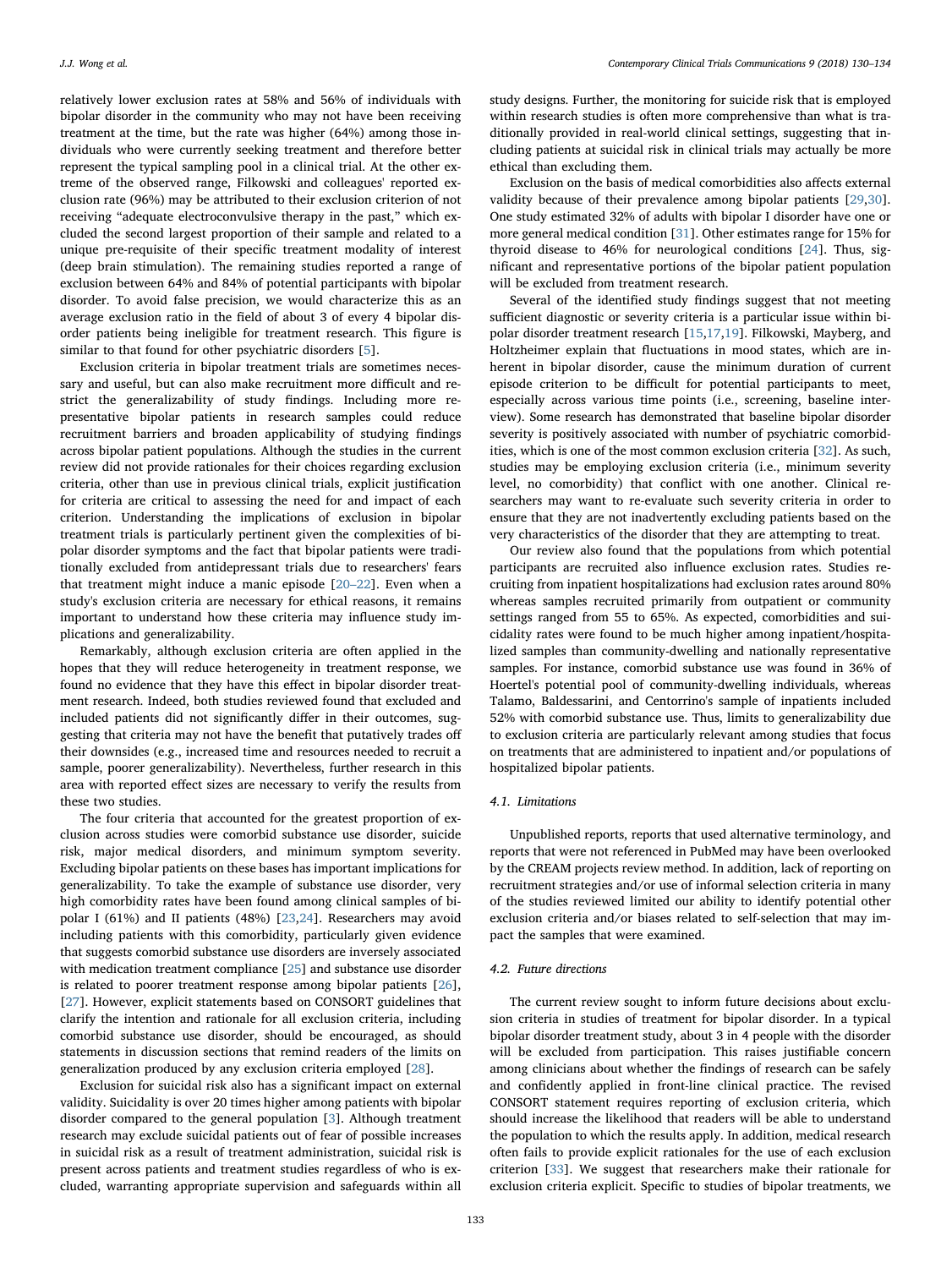relatively lower exclusion rates at 58% and 56% of individuals with bipolar disorder in the community who may not have been receiving treatment at the time, but the rate was higher (64%) among those individuals who were currently seeking treatment and therefore better represent the typical sampling pool in a clinical trial. At the other extreme of the observed range, Filkowski and colleagues' reported exclusion rate (96%) may be attributed to their exclusion criterion of not receiving "adequate electroconvulsive therapy in the past," which excluded the second largest proportion of their sample and related to a unique pre-requisite of their specific treatment modality of interest (deep brain stimulation). The remaining studies reported a range of exclusion between 64% and 84% of potential participants with bipolar disorder. To avoid false precision, we would characterize this as an average exclusion ratio in the field of about 3 of every 4 bipolar disorder patients being ineligible for treatment research. This figure is similar to that found for other psychiatric disorders [[5](#page-5-4)].

Exclusion criteria in bipolar treatment trials are sometimes necessary and useful, but can also make recruitment more difficult and restrict the generalizability of study findings. Including more representative bipolar patients in research samples could reduce recruitment barriers and broaden applicability of studying findings across bipolar patient populations. Although the studies in the current review did not provide rationales for their choices regarding exclusion criteria, other than use in previous clinical trials, explicit justification for criteria are critical to assessing the need for and impact of each criterion. Understanding the implications of exclusion in bipolar treatment trials is particularly pertinent given the complexities of bipolar disorder symptoms and the fact that bipolar patients were traditionally excluded from antidepressant trials due to researchers' fears that treatment might induce a manic episode [\[20](#page-5-19)–22]. Even when a study's exclusion criteria are necessary for ethical reasons, it remains important to understand how these criteria may influence study implications and generalizability.

Remarkably, although exclusion criteria are often applied in the hopes that they will reduce heterogeneity in treatment response, we found no evidence that they have this effect in bipolar disorder treatment research. Indeed, both studies reviewed found that excluded and included patients did not significantly differ in their outcomes, suggesting that criteria may not have the benefit that putatively trades off their downsides (e.g., increased time and resources needed to recruit a sample, poorer generalizability). Nevertheless, further research in this area with reported effect sizes are necessary to verify the results from these two studies.

The four criteria that accounted for the greatest proportion of exclusion across studies were comorbid substance use disorder, suicide risk, major medical disorders, and minimum symptom severity. Excluding bipolar patients on these bases has important implications for generalizability. To take the example of substance use disorder, very high comorbidity rates have been found among clinical samples of bipolar I (61%) and II patients (48%) [\[23](#page-5-20)[,24](#page-5-21)]. Researchers may avoid including patients with this comorbidity, particularly given evidence that suggests comorbid substance use disorders are inversely associated with medication treatment compliance [[25\]](#page-5-22) and substance use disorder is related to poorer treatment response among bipolar patients [\[26](#page-5-23)], [[27\]](#page-5-24). However, explicit statements based on CONSORT guidelines that clarify the intention and rationale for all exclusion criteria, including comorbid substance use disorder, should be encouraged, as should statements in discussion sections that remind readers of the limits on generalization produced by any exclusion criteria employed [\[28](#page-5-25)].

Exclusion for suicidal risk also has a significant impact on external validity. Suicidality is over 20 times higher among patients with bipolar disorder compared to the general population [\[3\]](#page-5-2). Although treatment research may exclude suicidal patients out of fear of possible increases in suicidal risk as a result of treatment administration, suicidal risk is present across patients and treatment studies regardless of who is excluded, warranting appropriate supervision and safeguards within all

study designs. Further, the monitoring for suicide risk that is employed within research studies is often more comprehensive than what is traditionally provided in real-world clinical settings, suggesting that including patients at suicidal risk in clinical trials may actually be more ethical than excluding them.

Exclusion on the basis of medical comorbidities also affects external validity because of their prevalence among bipolar patients [[29,](#page-5-26)[30](#page-5-27)]. One study estimated 32% of adults with bipolar I disorder have one or more general medical condition [[31\]](#page-5-28). Other estimates range for 15% for thyroid disease to 46% for neurological conditions [\[24](#page-5-21)]. Thus, significant and representative portions of the bipolar patient population will be excluded from treatment research.

Several of the identified study findings suggest that not meeting sufficient diagnostic or severity criteria is a particular issue within bipolar disorder treatment research [\[15](#page-5-14)[,17](#page-5-16),[19\]](#page-5-18). Filkowski, Mayberg, and Holtzheimer explain that fluctuations in mood states, which are inherent in bipolar disorder, cause the minimum duration of current episode criterion to be difficult for potential participants to meet, especially across various time points (i.e., screening, baseline interview). Some research has demonstrated that baseline bipolar disorder severity is positively associated with number of psychiatric comorbidities, which is one of the most common exclusion criteria [\[32](#page-5-29)]. As such, studies may be employing exclusion criteria (i.e., minimum severity level, no comorbidity) that conflict with one another. Clinical researchers may want to re-evaluate such severity criteria in order to ensure that they are not inadvertently excluding patients based on the very characteristics of the disorder that they are attempting to treat.

Our review also found that the populations from which potential participants are recruited also influence exclusion rates. Studies recruiting from inpatient hospitalizations had exclusion rates around 80% whereas samples recruited primarily from outpatient or community settings ranged from 55 to 65%. As expected, comorbidities and suicidality rates were found to be much higher among inpatient/hospitalized samples than community-dwelling and nationally representative samples. For instance, comorbid substance use was found in 36% of Hoertel's potential pool of community-dwelling individuals, whereas Talamo, Baldessarini, and Centorrino's sample of inpatients included 52% with comorbid substance use. Thus, limits to generalizability due to exclusion criteria are particularly relevant among studies that focus on treatments that are administered to inpatient and/or populations of hospitalized bipolar patients.

#### 4.1. Limitations

Unpublished reports, reports that used alternative terminology, and reports that were not referenced in PubMed may have been overlooked by the CREAM projects review method. In addition, lack of reporting on recruitment strategies and/or use of informal selection criteria in many of the studies reviewed limited our ability to identify potential other exclusion criteria and/or biases related to self-selection that may impact the samples that were examined.

## 4.2. Future directions

The current review sought to inform future decisions about exclusion criteria in studies of treatment for bipolar disorder. In a typical bipolar disorder treatment study, about 3 in 4 people with the disorder will be excluded from participation. This raises justifiable concern among clinicians about whether the findings of research can be safely and confidently applied in front-line clinical practice. The revised CONSORT statement requires reporting of exclusion criteria, which should increase the likelihood that readers will be able to understand the population to which the results apply. In addition, medical research often fails to provide explicit rationales for the use of each exclusion criterion [\[33](#page-5-30)]. We suggest that researchers make their rationale for exclusion criteria explicit. Specific to studies of bipolar treatments, we